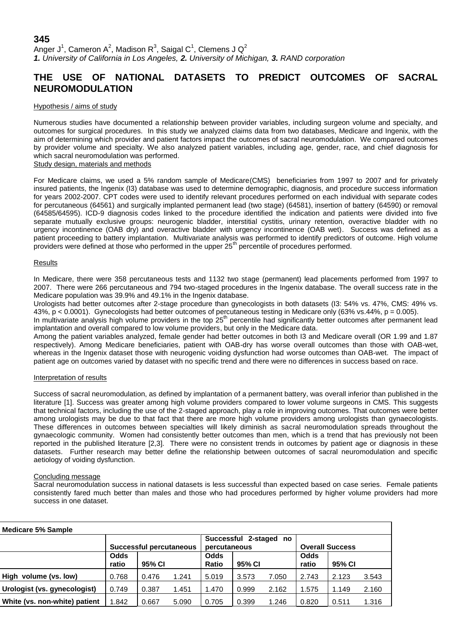## **345**

Anger J<sup>1</sup>, Cameron A<sup>2</sup>, Madison R<sup>3</sup>, Saigal C<sup>1</sup>, Clemens J Q<sup>2</sup> *1. University of California in Los Angeles, 2. University of Michigan, 3. RAND corporation*

# **THE USE OF NATIONAL DATASETS TO PREDICT OUTCOMES OF SACRAL NEUROMODULATION**

### Hypothesis / aims of study

Numerous studies have documented a relationship between provider variables, including surgeon volume and specialty, and outcomes for surgical procedures. In this study we analyzed claims data from two databases, Medicare and Ingenix, with the aim of determining which provider and patient factors impact the outcomes of sacral neuromodulation. We compared outcomes by provider volume and specialty. We also analyzed patient variables, including age, gender, race, and chief diagnosis for which sacral neuromodulation was performed.

### Study design, materials and methods

For Medicare claims, we used a 5% random sample of Medicare(CMS) beneficiaries from 1997 to 2007 and for privately insured patients, the Ingenix (I3) database was used to determine demographic, diagnosis, and procedure success information for years 2002-2007. CPT codes were used to identify relevant procedures performed on each individual with separate codes for percutaneous (64561) and surgically implanted permanent lead (two stage) (64581), insertion of battery (64590) or removal (64585/64595). ICD-9 diagnosis codes linked to the procedure identified the indication and patients were divided into five separate mutually exclusive groups: neurogenic bladder, interstitial cystitis, urinary retention, overactive bladder with no urgency incontinence (OAB dry) and overactive bladder with urgency incontinence (OAB wet). Success was defined as a patient proceeding to battery implantation. Multivariate analysis was performed to identify predictors of outcome. High volume providers were defined at those who performed in the upper 25<sup>th</sup> percentile of procedures performed.

### Results

In Medicare, there were 358 percutaneous tests and 1132 two stage (permanent) lead placements performed from 1997 to 2007. There were 266 percutaneous and 794 two-staged procedures in the Ingenix database. The overall success rate in the Medicare population was 39.9% and 49.1% in the Ingenix database.

Urologists had better outcomes after 2-stage procedure than gynecologists in both datasets (I3: 54% vs. 47%, CMS: 49% vs. 43%, p < 0.0001). Gynecologists had better outcomes of percutaneous testing in Medicare only (63% vs.44%, p = 0.005).

In multivariate analysis high volume providers in the top  $25<sup>th</sup>$  percentile had significantly better outcomes after permanent lead implantation and overall compared to low volume providers, but only in the Medicare data.

Among the patient variables analyzed, female gender had better outcomes in both I3 and Medicare overall (OR 1.99 and 1.87 respectively). Among Medicare beneficiaries, patient with OAB-dry has worse overall outcomes than those with OAB-wet, whereas in the Ingenix dataset those with neurogenic voiding dysfunction had worse outcomes than OAB-wet. The impact of patient age on outcomes varied by dataset with no specific trend and there were no differences in success based on race.

#### Interpretation of results

Success of sacral neuromodulation, as defined by implantation of a permanent battery, was overall inferior than published in the literature [1]. Success was greater among high volume providers compared to lower volume surgeons in CMS. This suggests that technical factors, including the use of the 2-staged approach, play a role in improving outcomes. That outcomes were better among urologists may be due to that fact that there are more high volume providers among urologists than gynaecologists. These differences in outcomes between specialties will likely diminish as sacral neuromodulation spreads throughout the gynaecologic community. Women had consistently better outcomes than men, which is a trend that has previously not been reported in the published literature [2,3]. There were no consistent trends in outcomes by patient age or diagnosis in these datasets. Further research may better define the relationship between outcomes of sacral neuromodulation and specific aetiology of voiding dysfunction.

### Concluding message

Sacral neuromodulation success in national datasets is less successful than expected based on case series. Female patients consistently fared much better than males and those who had procedures performed by higher volume providers had more success in one dataset.

| <b>Medicare 5% Sample</b>     |                         |        |       |                                        |        |       |                        |        |       |
|-------------------------------|-------------------------|--------|-------|----------------------------------------|--------|-------|------------------------|--------|-------|
|                               | Successful percutaneous |        |       | Successful 2-staged no<br>percutaneous |        |       | <b>Overall Success</b> |        |       |
|                               | <b>Odds</b><br>ratio    | 95% CI |       | <b>Odds</b><br>Ratio                   | 95% CI |       | Odds<br>ratio          | 95% CI |       |
| High volume (vs. low)         | 0.768                   | 0.476  | 1.241 | 5.019                                  | 3.573  | 7.050 | 2.743                  | 2.123  | 3.543 |
| Urologist (vs. gynecologist)  | 0.749                   | 0.387  | 1.451 | 1.470                                  | 0.999  | 2.162 | 1.575                  | 1.149  | 2.160 |
| White (vs. non-white) patient | 1.842                   | 0.667  | 5.090 | 0.705                                  | 0.399  | 1.246 | 0.820                  | 0.511  | 1.316 |